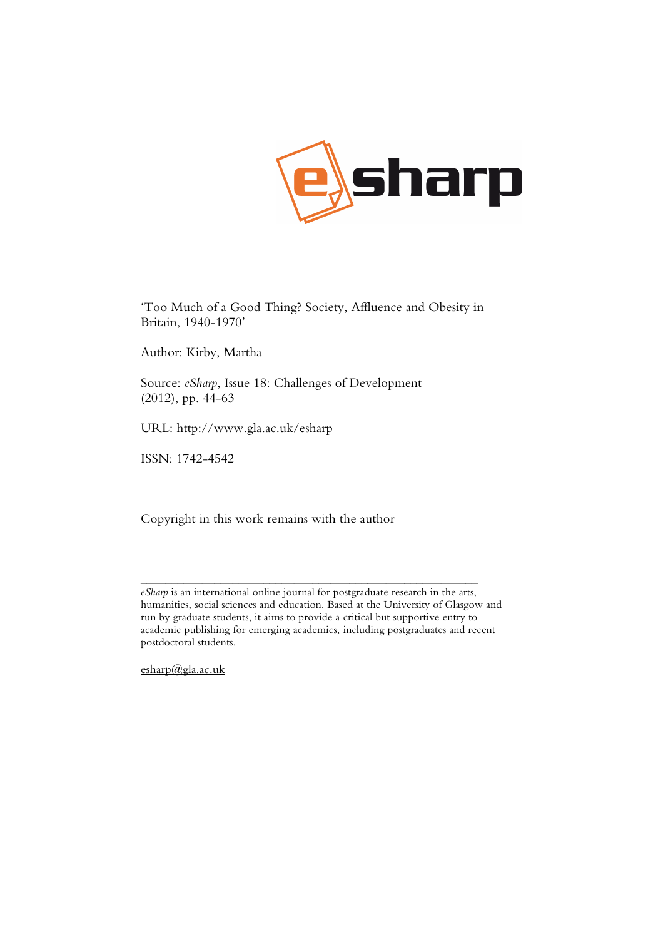

'Too Much of a Good Thing? Society, Affluence and Obesity in Britain, 1940-1970'

Author: Kirby, Martha

Source: *eSharp*, Issue 18: Challenges of Development (2012), pp. 44-63

URL: http://www.gla.ac.uk/esharp

ISSN: 1742-4542

Copyright in this work remains with the author

\_\_\_\_\_\_\_\_\_\_\_\_\_\_\_\_\_\_\_\_\_\_\_\_\_\_\_\_\_\_\_\_\_\_\_\_\_\_\_\_\_\_\_\_\_\_\_\_\_\_\_\_\_\_\_

esharp@gla.ac.uk

*eSharp* is an international online journal for postgraduate research in the arts, humanities, social sciences and education. Based at the University of Glasgow and run by graduate students, it aims to provide a critical but supportive entry to academic publishing for emerging academics, including postgraduates and recent postdoctoral students.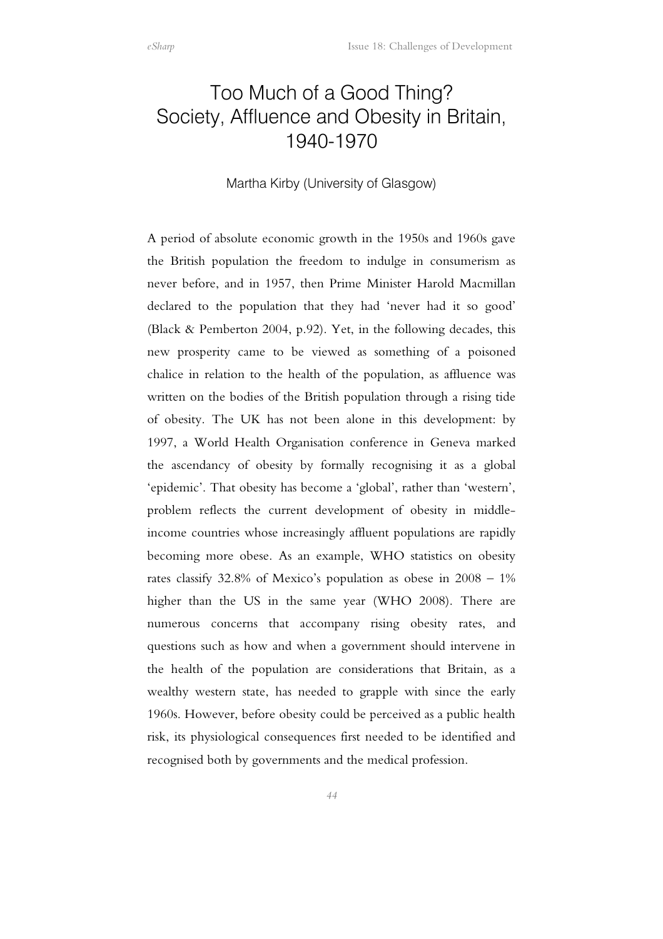# Too Much of a Good Thing? Society, Affluence and Obesity in Britain, 1940-1970

Martha Kirby (University of Glasgow)

A period of absolute economic growth in the 1950s and 1960s gave the British population the freedom to indulge in consumerism as never before, and in 1957, then Prime Minister Harold Macmillan declared to the population that they had 'never had it so good' (Black & Pemberton 2004, p.92). Yet, in the following decades, this new prosperity came to be viewed as something of a poisoned chalice in relation to the health of the population, as affluence was written on the bodies of the British population through a rising tide of obesity. The UK has not been alone in this development: by 1997, a World Health Organisation conference in Geneva marked the ascendancy of obesity by formally recognising it as a global 'epidemic'. That obesity has become a 'global', rather than 'western', problem reflects the current development of obesity in middleincome countries whose increasingly affluent populations are rapidly becoming more obese. As an example, WHO statistics on obesity rates classify 32.8% of Mexico's population as obese in 2008 – 1% higher than the US in the same year (WHO 2008). There are numerous concerns that accompany rising obesity rates, and questions such as how and when a government should intervene in the health of the population are considerations that Britain, as a wealthy western state, has needed to grapple with since the early 1960s. However, before obesity could be perceived as a public health risk, its physiological consequences first needed to be identified and recognised both by governments and the medical profession.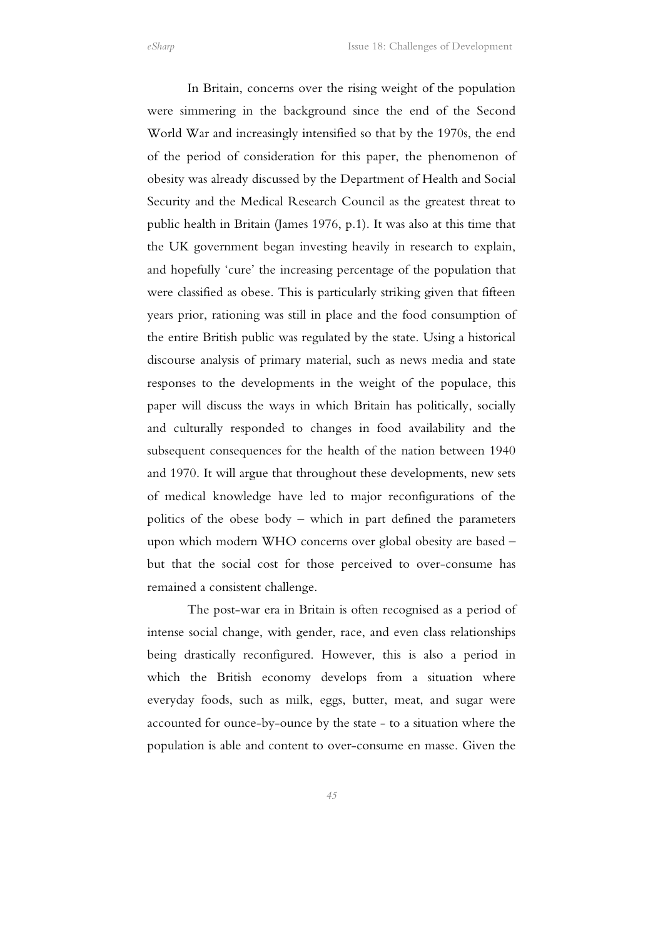In Britain, concerns over the rising weight of the population were simmering in the background since the end of the Second World War and increasingly intensified so that by the 1970s, the end of the period of consideration for this paper, the phenomenon of obesity was already discussed by the Department of Health and Social Security and the Medical Research Council as the greatest threat to public health in Britain (James 1976, p.1). It was also at this time that the UK government began investing heavily in research to explain, and hopefully 'cure' the increasing percentage of the population that were classified as obese. This is particularly striking given that fifteen years prior, rationing was still in place and the food consumption of the entire British public was regulated by the state. Using a historical discourse analysis of primary material, such as news media and state responses to the developments in the weight of the populace, this paper will discuss the ways in which Britain has politically, socially and culturally responded to changes in food availability and the subsequent consequences for the health of the nation between 1940 and 1970. It will argue that throughout these developments, new sets of medical knowledge have led to major reconfigurations of the politics of the obese body – which in part defined the parameters upon which modern WHO concerns over global obesity are based – but that the social cost for those perceived to over-consume has remained a consistent challenge.

The post-war era in Britain is often recognised as a period of intense social change, with gender, race, and even class relationships being drastically reconfigured. However, this is also a period in which the British economy develops from a situation where everyday foods, such as milk, eggs, butter, meat, and sugar were accounted for ounce-by-ounce by the state - to a situation where the population is able and content to over-consume en masse. Given the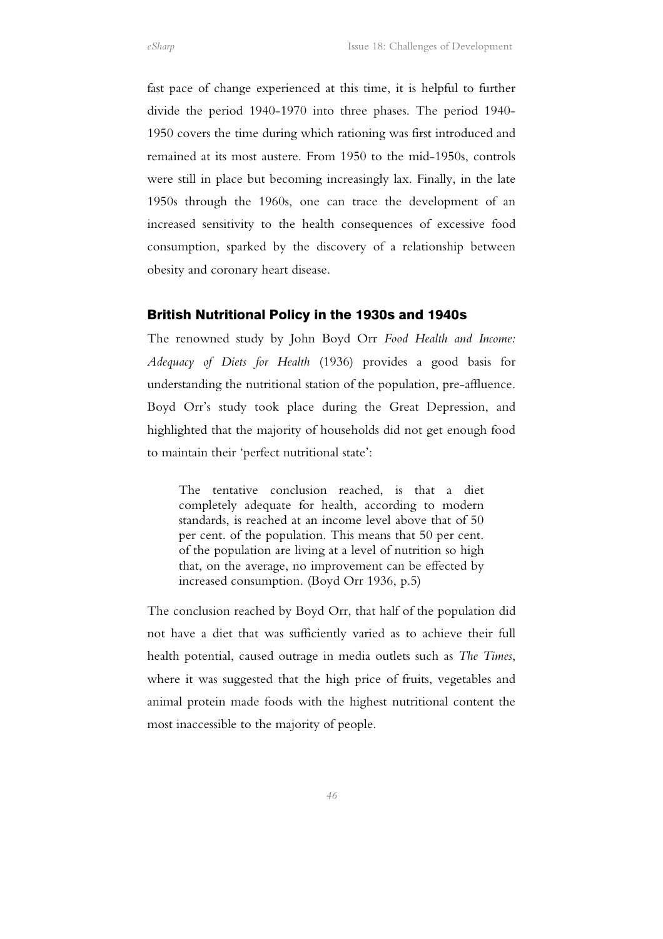fast pace of change experienced at this time, it is helpful to further divide the period 1940-1970 into three phases. The period 1940- 1950 covers the time during which rationing was first introduced and remained at its most austere. From 1950 to the mid-1950s, controls were still in place but becoming increasingly lax. Finally, in the late 1950s through the 1960s, one can trace the development of an increased sensitivity to the health consequences of excessive food consumption, sparked by the discovery of a relationship between obesity and coronary heart disease.

#### British Nutritional Policy in the 1930s and 1940s

The renowned study by John Boyd Orr *Food Health and Income: Adequacy of Diets for Health* (1936) provides a good basis for understanding the nutritional station of the population, pre-affluence. Boyd Orr's study took place during the Great Depression, and highlighted that the majority of households did not get enough food to maintain their 'perfect nutritional state':

The tentative conclusion reached, is that a diet completely adequate for health, according to modern standards, is reached at an income level above that of 50 per cent. of the population. This means that 50 per cent. of the population are living at a level of nutrition so high that, on the average, no improvement can be effected by increased consumption. (Boyd Orr 1936, p.5)

The conclusion reached by Boyd Orr, that half of the population did not have a diet that was sufficiently varied as to achieve their full health potential, caused outrage in media outlets such as *The Times*, where it was suggested that the high price of fruits, vegetables and animal protein made foods with the highest nutritional content the most inaccessible to the majority of people.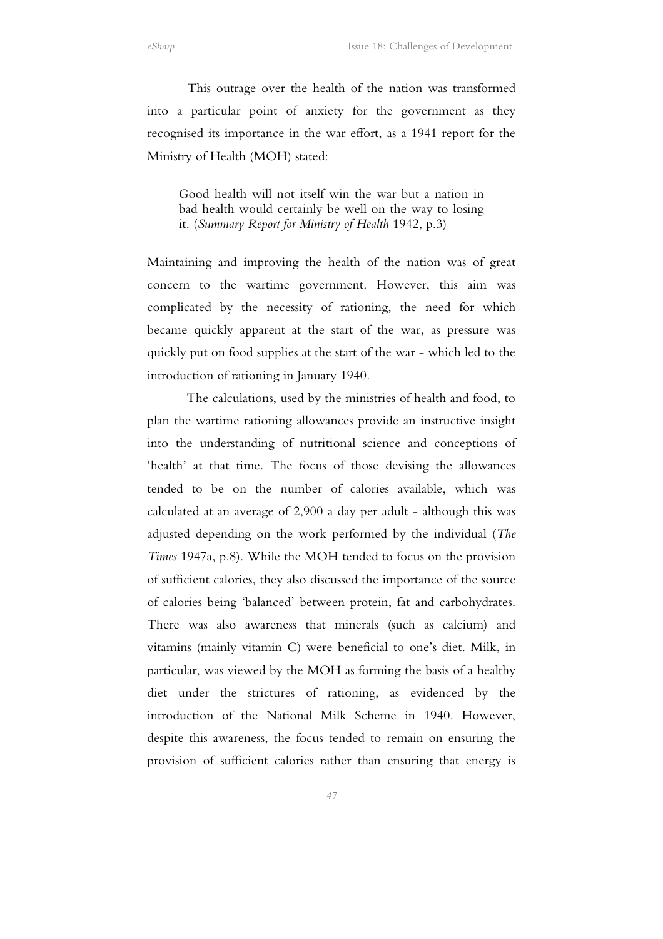This outrage over the health of the nation was transformed into a particular point of anxiety for the government as they recognised its importance in the war effort, as a 1941 report for the Ministry of Health (MOH) stated:

Good health will not itself win the war but a nation in bad health would certainly be well on the way to losing it. (*Summary Report for Ministry of Health* 1942, p.3)

Maintaining and improving the health of the nation was of great concern to the wartime government. However, this aim was complicated by the necessity of rationing, the need for which became quickly apparent at the start of the war, as pressure was quickly put on food supplies at the start of the war - which led to the introduction of rationing in January 1940.

The calculations, used by the ministries of health and food, to plan the wartime rationing allowances provide an instructive insight into the understanding of nutritional science and conceptions of 'health' at that time. The focus of those devising the allowances tended to be on the number of calories available, which was calculated at an average of 2,900 a day per adult - although this was adjusted depending on the work performed by the individual (*The Times* 1947a, p.8). While the MOH tended to focus on the provision of sufficient calories, they also discussed the importance of the source of calories being 'balanced' between protein, fat and carbohydrates. There was also awareness that minerals (such as calcium) and vitamins (mainly vitamin C) were beneficial to one's diet. Milk, in particular, was viewed by the MOH as forming the basis of a healthy diet under the strictures of rationing, as evidenced by the introduction of the National Milk Scheme in 1940. However, despite this awareness, the focus tended to remain on ensuring the provision of sufficient calories rather than ensuring that energy is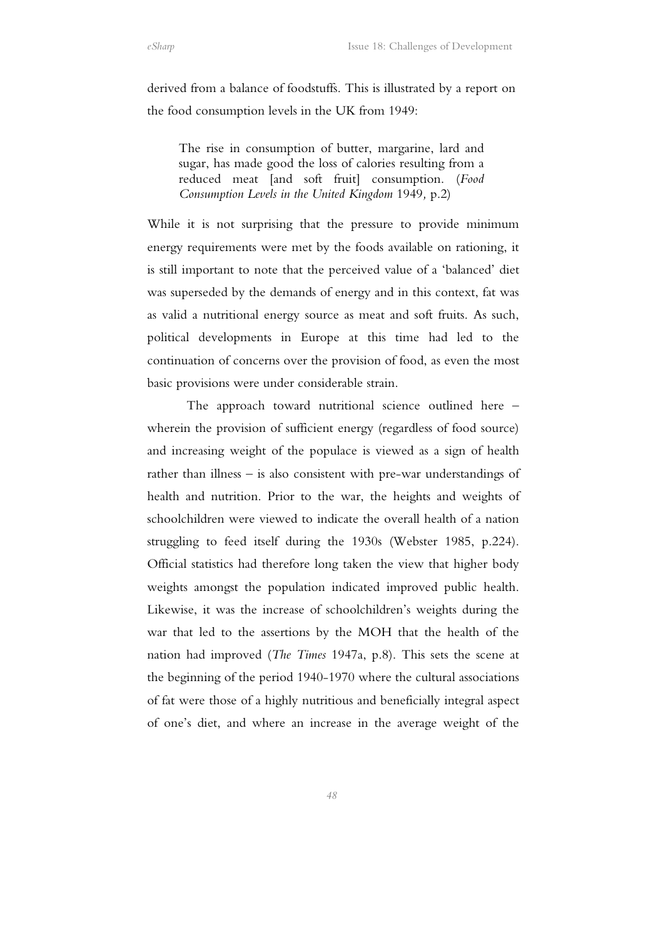derived from a balance of foodstuffs. This is illustrated by a report on the food consumption levels in the UK from 1949:

The rise in consumption of butter, margarine, lard and sugar, has made good the loss of calories resulting from a reduced meat [and soft fruit] consumption. (*Food Consumption Levels in the United Kingdom* 1949*,* p.2)

While it is not surprising that the pressure to provide minimum energy requirements were met by the foods available on rationing, it is still important to note that the perceived value of a 'balanced' diet was superseded by the demands of energy and in this context, fat was as valid a nutritional energy source as meat and soft fruits. As such, political developments in Europe at this time had led to the continuation of concerns over the provision of food, as even the most basic provisions were under considerable strain.

 The approach toward nutritional science outlined here – wherein the provision of sufficient energy (regardless of food source) and increasing weight of the populace is viewed as a sign of health rather than illness – is also consistent with pre-war understandings of health and nutrition. Prior to the war, the heights and weights of schoolchildren were viewed to indicate the overall health of a nation struggling to feed itself during the 1930s (Webster 1985, p.224). Official statistics had therefore long taken the view that higher body weights amongst the population indicated improved public health. Likewise, it was the increase of schoolchildren's weights during the war that led to the assertions by the MOH that the health of the nation had improved (*The Times* 1947a, p.8). This sets the scene at the beginning of the period 1940-1970 where the cultural associations of fat were those of a highly nutritious and beneficially integral aspect of one's diet, and where an increase in the average weight of the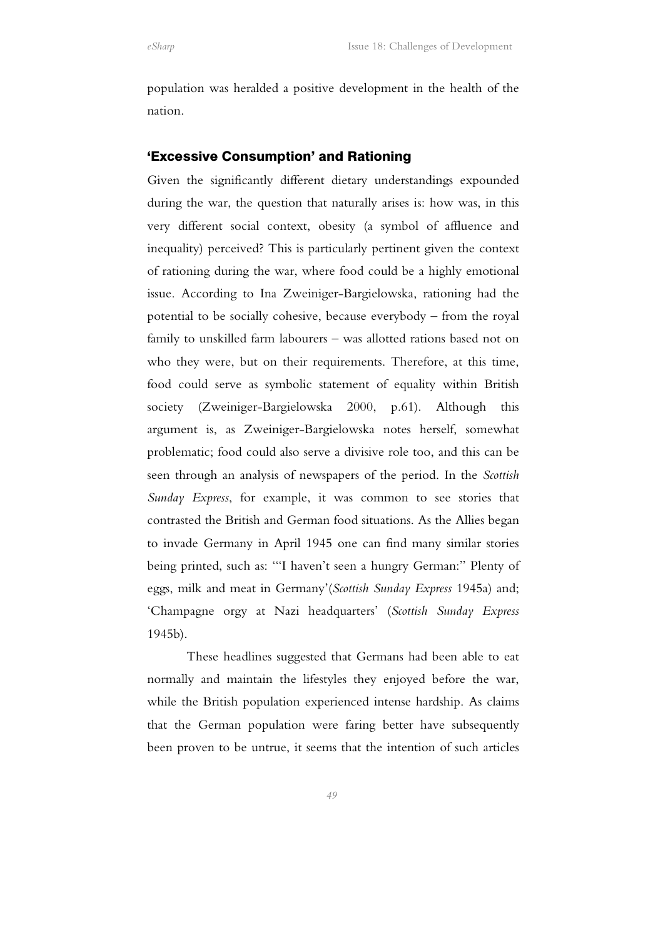population was heralded a positive development in the health of the nation.

## 'Excessive Consumption' and Rationing

Given the significantly different dietary understandings expounded during the war, the question that naturally arises is: how was, in this very different social context, obesity (a symbol of affluence and inequality) perceived? This is particularly pertinent given the context of rationing during the war, where food could be a highly emotional issue. According to Ina Zweiniger-Bargielowska, rationing had the potential to be socially cohesive, because everybody – from the royal family to unskilled farm labourers – was allotted rations based not on who they were, but on their requirements. Therefore, at this time, food could serve as symbolic statement of equality within British society (Zweiniger-Bargielowska 2000, p.61). Although this argument is, as Zweiniger-Bargielowska notes herself, somewhat problematic; food could also serve a divisive role too, and this can be seen through an analysis of newspapers of the period. In the *Scottish Sunday Express*, for example, it was common to see stories that contrasted the British and German food situations. As the Allies began to invade Germany in April 1945 one can find many similar stories being printed, such as: '"I haven't seen a hungry German:" Plenty of eggs, milk and meat in Germany'(*Scottish Sunday Express* 1945a) and; 'Champagne orgy at Nazi headquarters' (*Scottish Sunday Express* 1945b).

 These headlines suggested that Germans had been able to eat normally and maintain the lifestyles they enjoyed before the war, while the British population experienced intense hardship. As claims that the German population were faring better have subsequently been proven to be untrue, it seems that the intention of such articles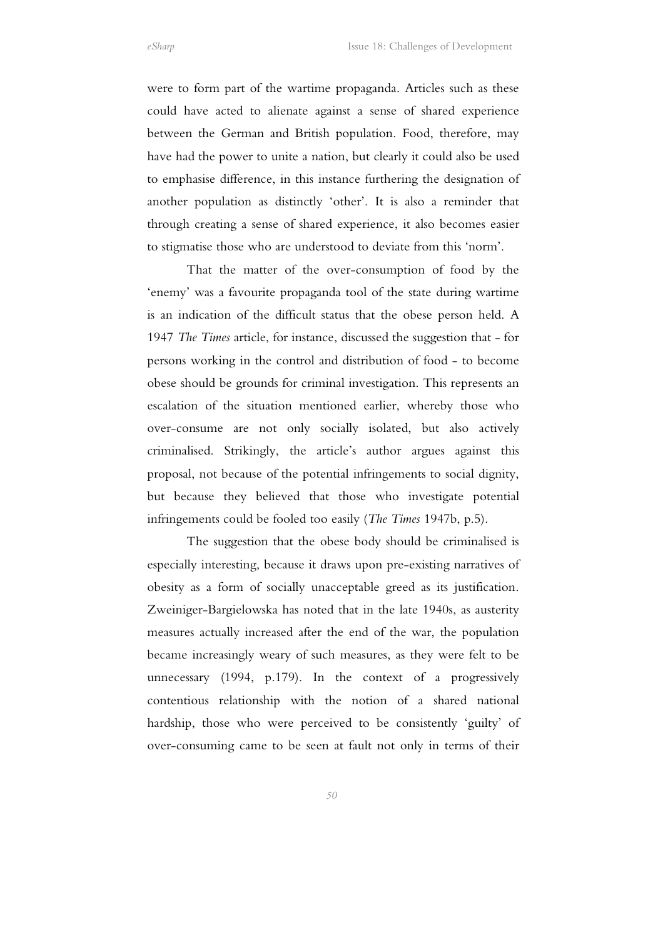were to form part of the wartime propaganda. Articles such as these could have acted to alienate against a sense of shared experience between the German and British population. Food, therefore, may have had the power to unite a nation, but clearly it could also be used to emphasise difference, in this instance furthering the designation of another population as distinctly 'other'. It is also a reminder that through creating a sense of shared experience, it also becomes easier to stigmatise those who are understood to deviate from this 'norm'.

 That the matter of the over-consumption of food by the 'enemy' was a favourite propaganda tool of the state during wartime is an indication of the difficult status that the obese person held. A 1947 *The Times* article, for instance, discussed the suggestion that - for persons working in the control and distribution of food - to become obese should be grounds for criminal investigation. This represents an escalation of the situation mentioned earlier, whereby those who over-consume are not only socially isolated, but also actively criminalised. Strikingly, the article's author argues against this proposal, not because of the potential infringements to social dignity, but because they believed that those who investigate potential infringements could be fooled too easily (*The Times* 1947b, p.5).

 The suggestion that the obese body should be criminalised is especially interesting, because it draws upon pre-existing narratives of obesity as a form of socially unacceptable greed as its justification. Zweiniger-Bargielowska has noted that in the late 1940s, as austerity measures actually increased after the end of the war, the population became increasingly weary of such measures, as they were felt to be unnecessary (1994, p.179). In the context of a progressively contentious relationship with the notion of a shared national hardship, those who were perceived to be consistently 'guilty' of over-consuming came to be seen at fault not only in terms of their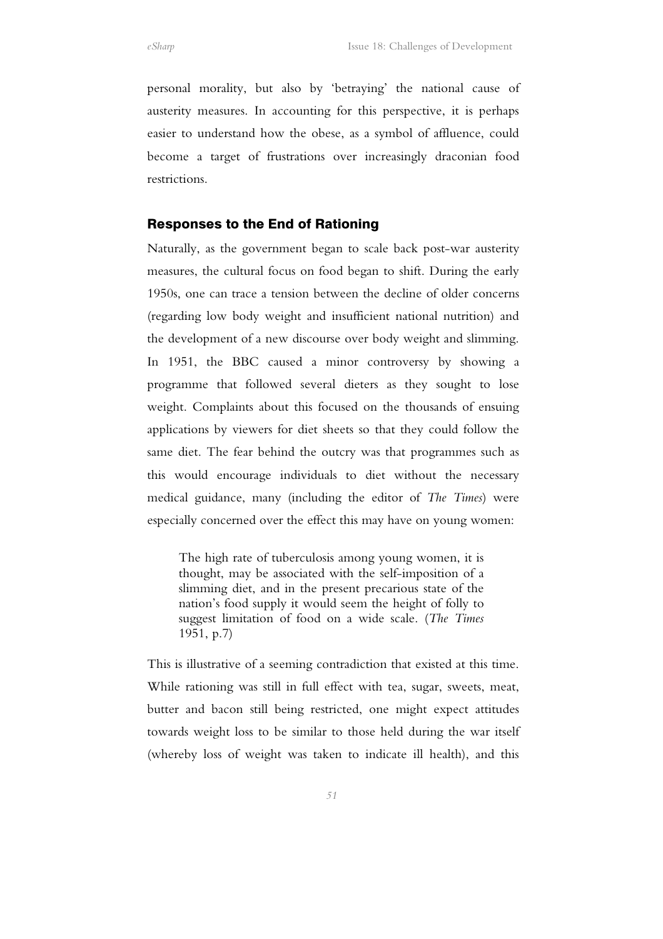personal morality, but also by 'betraying' the national cause of austerity measures. In accounting for this perspective, it is perhaps easier to understand how the obese, as a symbol of affluence, could become a target of frustrations over increasingly draconian food restrictions.

## Responses to the End of Rationing

Naturally, as the government began to scale back post-war austerity measures, the cultural focus on food began to shift. During the early 1950s, one can trace a tension between the decline of older concerns (regarding low body weight and insufficient national nutrition) and the development of a new discourse over body weight and slimming. In 1951, the BBC caused a minor controversy by showing a programme that followed several dieters as they sought to lose weight. Complaints about this focused on the thousands of ensuing applications by viewers for diet sheets so that they could follow the same diet. The fear behind the outcry was that programmes such as this would encourage individuals to diet without the necessary medical guidance, many (including the editor of *The Times*) were especially concerned over the effect this may have on young women:

The high rate of tuberculosis among young women, it is thought, may be associated with the self-imposition of a slimming diet, and in the present precarious state of the nation's food supply it would seem the height of folly to suggest limitation of food on a wide scale. (*The Times* 1951, p.7)

This is illustrative of a seeming contradiction that existed at this time. While rationing was still in full effect with tea, sugar, sweets, meat, butter and bacon still being restricted, one might expect attitudes towards weight loss to be similar to those held during the war itself (whereby loss of weight was taken to indicate ill health), and this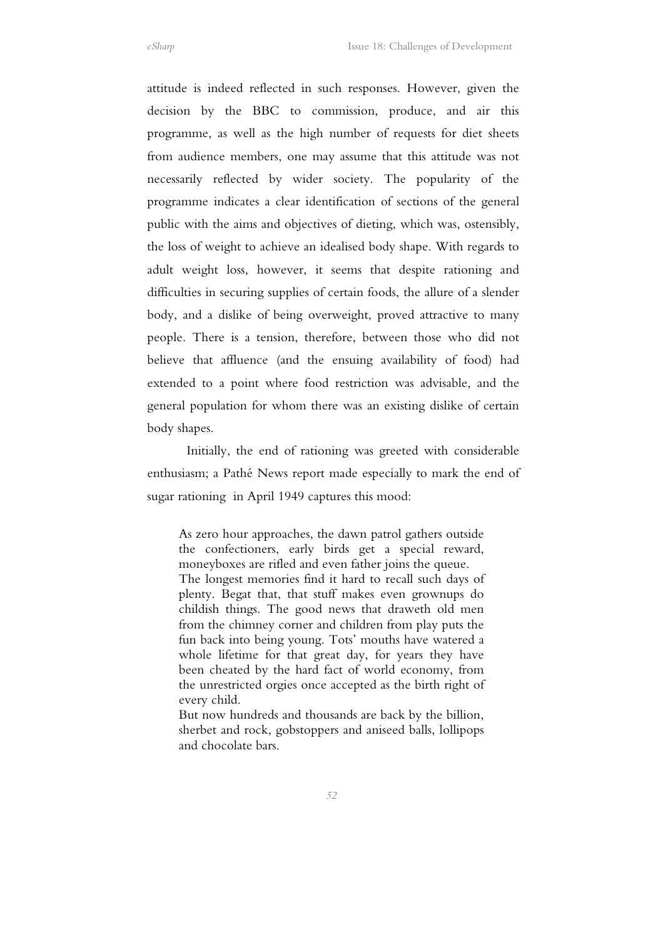attitude is indeed reflected in such responses. However, given the decision by the BBC to commission, produce, and air this programme, as well as the high number of requests for diet sheets from audience members, one may assume that this attitude was not necessarily reflected by wider society. The popularity of the programme indicates a clear identification of sections of the general public with the aims and objectives of dieting, which was, ostensibly, the loss of weight to achieve an idealised body shape. With regards to adult weight loss, however, it seems that despite rationing and difficulties in securing supplies of certain foods, the allure of a slender body, and a dislike of being overweight, proved attractive to many people. There is a tension, therefore, between those who did not believe that affluence (and the ensuing availability of food) had extended to a point where food restriction was advisable, and the general population for whom there was an existing dislike of certain body shapes.

 Initially, the end of rationing was greeted with considerable enthusiasm; a Pathé News report made especially to mark the end of sugar rationing in April 1949 captures this mood:

As zero hour approaches, the dawn patrol gathers outside the confectioners, early birds get a special reward, moneyboxes are rifled and even father joins the queue. The longest memories find it hard to recall such days of plenty. Begat that, that stuff makes even grownups do childish things. The good news that draweth old men from the chimney corner and children from play puts the fun back into being young. Tots' mouths have watered a whole lifetime for that great day, for years they have been cheated by the hard fact of world economy, from the unrestricted orgies once accepted as the birth right of every child.

But now hundreds and thousands are back by the billion, sherbet and rock, gobstoppers and aniseed balls, lollipops and chocolate bars.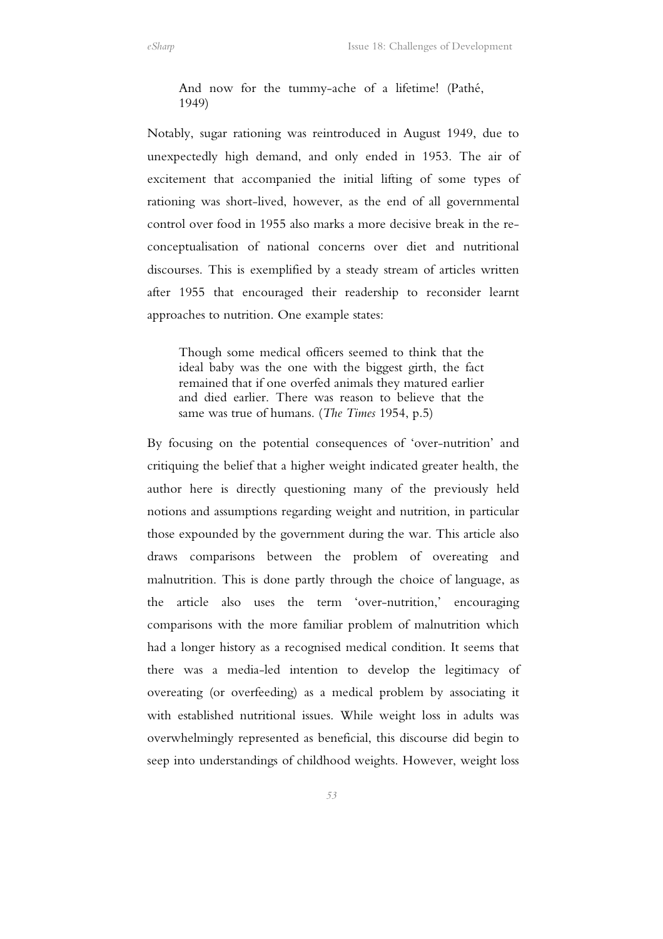And now for the tummy-ache of a lifetime! (Pathé, 1949)

Notably, sugar rationing was reintroduced in August 1949, due to unexpectedly high demand, and only ended in 1953. The air of excitement that accompanied the initial lifting of some types of rationing was short-lived, however, as the end of all governmental control over food in 1955 also marks a more decisive break in the reconceptualisation of national concerns over diet and nutritional discourses. This is exemplified by a steady stream of articles written after 1955 that encouraged their readership to reconsider learnt approaches to nutrition. One example states:

Though some medical officers seemed to think that the ideal baby was the one with the biggest girth, the fact remained that if one overfed animals they matured earlier and died earlier. There was reason to believe that the same was true of humans. (*The Times* 1954, p.5)

By focusing on the potential consequences of 'over-nutrition' and critiquing the belief that a higher weight indicated greater health, the author here is directly questioning many of the previously held notions and assumptions regarding weight and nutrition, in particular those expounded by the government during the war. This article also draws comparisons between the problem of overeating and malnutrition. This is done partly through the choice of language, as the article also uses the term 'over-nutrition,' encouraging comparisons with the more familiar problem of malnutrition which had a longer history as a recognised medical condition. It seems that there was a media-led intention to develop the legitimacy of overeating (or overfeeding) as a medical problem by associating it with established nutritional issues. While weight loss in adults was overwhelmingly represented as beneficial, this discourse did begin to seep into understandings of childhood weights. However, weight loss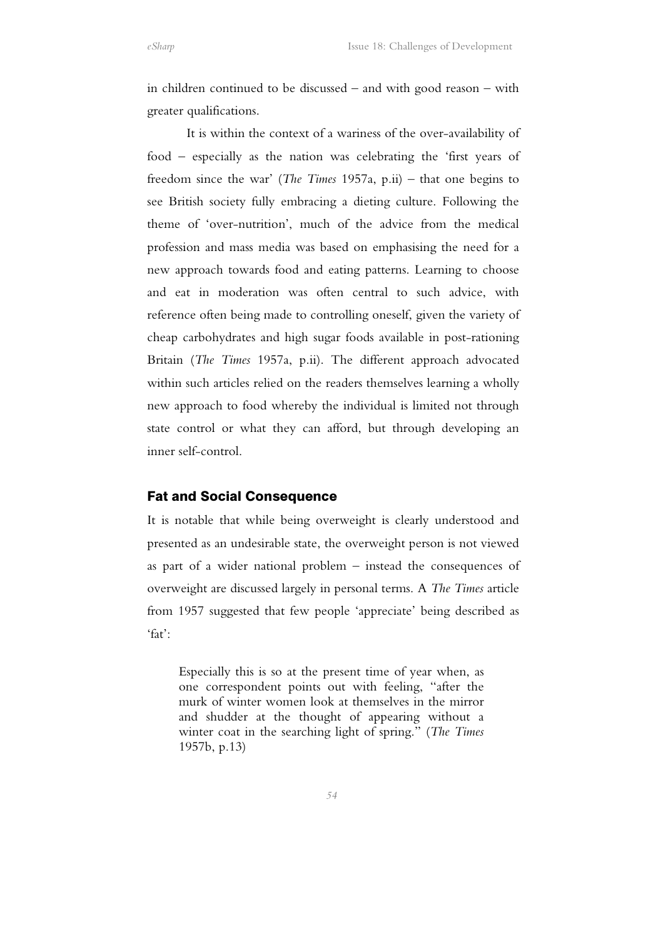in children continued to be discussed – and with good reason – with greater qualifications.

 It is within the context of a wariness of the over-availability of food – especially as the nation was celebrating the 'first years of freedom since the war' (*The Times* 1957a, p.ii) – that one begins to see British society fully embracing a dieting culture. Following the theme of 'over-nutrition', much of the advice from the medical profession and mass media was based on emphasising the need for a new approach towards food and eating patterns. Learning to choose and eat in moderation was often central to such advice, with reference often being made to controlling oneself, given the variety of cheap carbohydrates and high sugar foods available in post-rationing Britain (*The Times* 1957a, p.ii). The different approach advocated within such articles relied on the readers themselves learning a wholly new approach to food whereby the individual is limited not through state control or what they can afford, but through developing an inner self-control.

## Fat and Social Consequence

It is notable that while being overweight is clearly understood and presented as an undesirable state, the overweight person is not viewed as part of a wider national problem – instead the consequences of overweight are discussed largely in personal terms. A *The Times* article from 1957 suggested that few people 'appreciate' being described as 'fat':

Especially this is so at the present time of year when, as one correspondent points out with feeling, "after the murk of winter women look at themselves in the mirror and shudder at the thought of appearing without a winter coat in the searching light of spring." (*The Times* 1957b, p.13)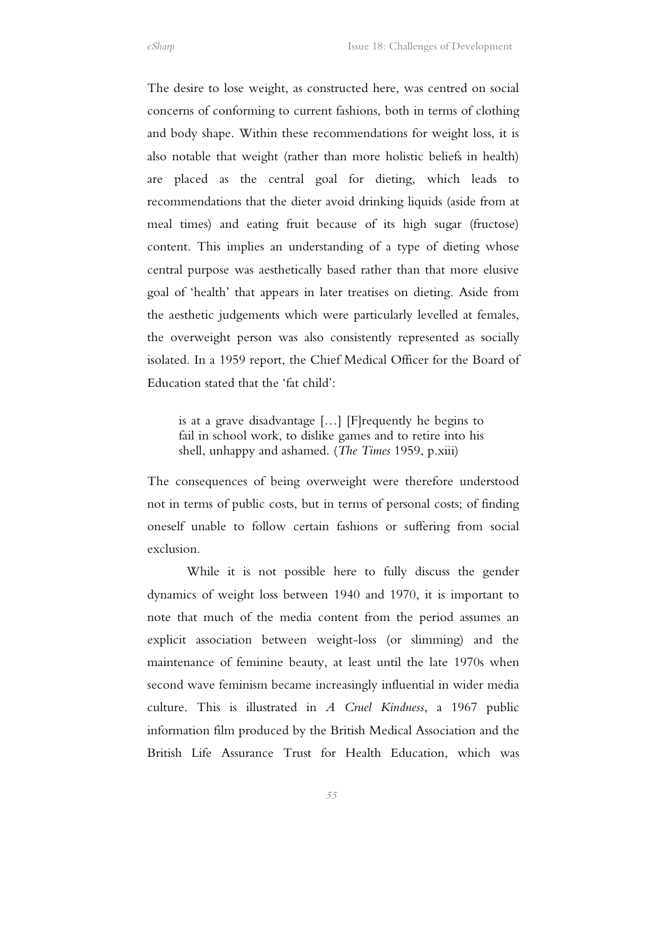The desire to lose weight, as constructed here, was centred on social concerns of conforming to current fashions, both in terms of clothing and body shape. Within these recommendations for weight loss, it is also notable that weight (rather than more holistic beliefs in health) are placed as the central goal for dieting, which leads to recommendations that the dieter avoid drinking liquids (aside from at meal times) and eating fruit because of its high sugar (fructose) content. This implies an understanding of a type of dieting whose central purpose was aesthetically based rather than that more elusive goal of 'health' that appears in later treatises on dieting. Aside from the aesthetic judgements which were particularly levelled at females, the overweight person was also consistently represented as socially isolated. In a 1959 report, the Chief Medical Officer for the Board of Education stated that the 'fat child':

is at a grave disadvantage […] [F]requently he begins to fail in school work, to dislike games and to retire into his shell, unhappy and ashamed. (*The Times* 1959, p.xiii)

The consequences of being overweight were therefore understood not in terms of public costs, but in terms of personal costs; of finding oneself unable to follow certain fashions or suffering from social exclusion.

 While it is not possible here to fully discuss the gender dynamics of weight loss between 1940 and 1970, it is important to note that much of the media content from the period assumes an explicit association between weight-loss (or slimming) and the maintenance of feminine beauty, at least until the late 1970s when second wave feminism became increasingly influential in wider media culture. This is illustrated in *A Cruel Kindness*, a 1967 public information film produced by the British Medical Association and the British Life Assurance Trust for Health Education, which was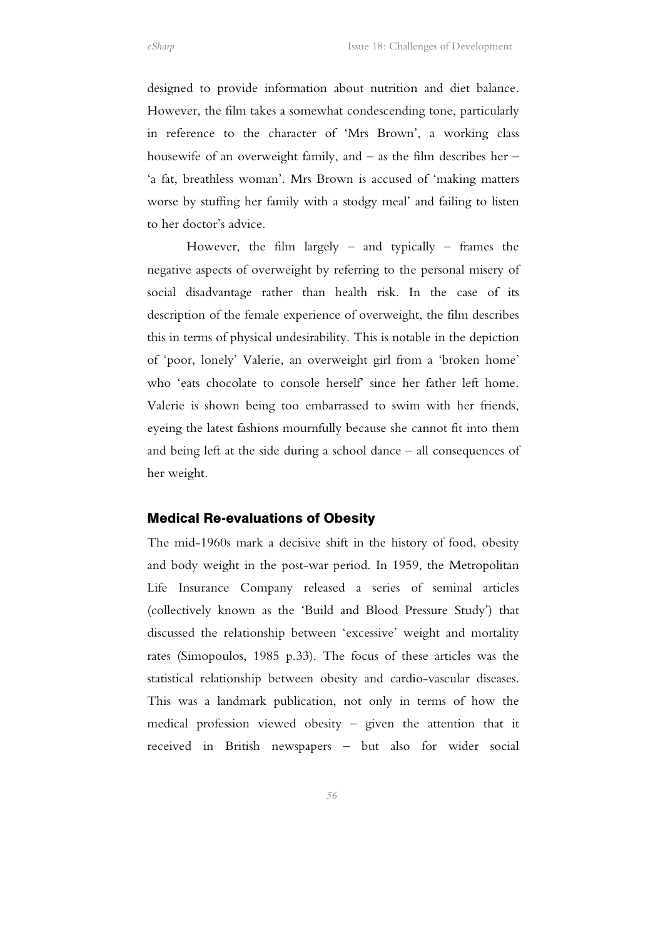designed to provide information about nutrition and diet balance. However, the film takes a somewhat condescending tone, particularly in reference to the character of 'Mrs Brown', a working class housewife of an overweight family, and – as the film describes her – 'a fat, breathless woman'. Mrs Brown is accused of 'making matters worse by stuffing her family with a stodgy meal' and failing to listen to her doctor's advice.

However, the film largely – and typically – frames the negative aspects of overweight by referring to the personal misery of social disadvantage rather than health risk. In the case of its description of the female experience of overweight, the film describes this in terms of physical undesirability. This is notable in the depiction of 'poor, lonely' Valerie, an overweight girl from a 'broken home' who 'eats chocolate to console herself' since her father left home. Valerie is shown being too embarrassed to swim with her friends, eyeing the latest fashions mournfully because she cannot fit into them and being left at the side during a school dance – all consequences of her weight.

#### Medical Re-evaluations of Obesity

The mid-1960s mark a decisive shift in the history of food, obesity and body weight in the post-war period. In 1959, the Metropolitan Life Insurance Company released a series of seminal articles (collectively known as the 'Build and Blood Pressure Study') that discussed the relationship between 'excessive' weight and mortality rates (Simopoulos, 1985 p.33). The focus of these articles was the statistical relationship between obesity and cardio-vascular diseases. This was a landmark publication, not only in terms of how the medical profession viewed obesity – given the attention that it received in British newspapers – but also for wider social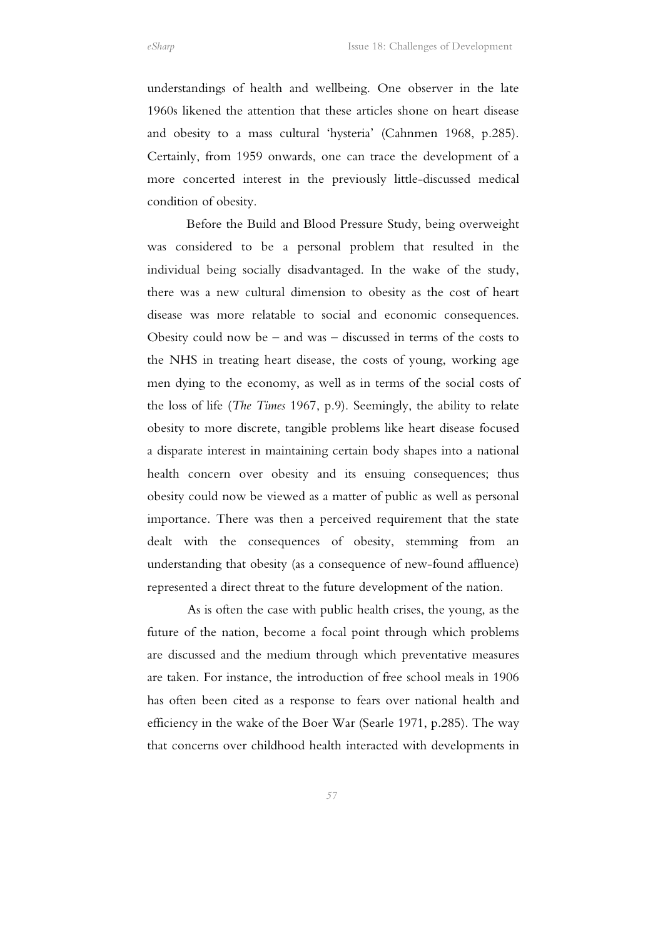understandings of health and wellbeing. One observer in the late 1960s likened the attention that these articles shone on heart disease and obesity to a mass cultural 'hysteria' (Cahnmen 1968, p.285). Certainly, from 1959 onwards, one can trace the development of a more concerted interest in the previously little-discussed medical condition of obesity.

 Before the Build and Blood Pressure Study, being overweight was considered to be a personal problem that resulted in the individual being socially disadvantaged. In the wake of the study, there was a new cultural dimension to obesity as the cost of heart disease was more relatable to social and economic consequences. Obesity could now be – and was – discussed in terms of the costs to the NHS in treating heart disease, the costs of young, working age men dying to the economy, as well as in terms of the social costs of the loss of life (*The Times* 1967, p.9). Seemingly, the ability to relate obesity to more discrete, tangible problems like heart disease focused a disparate interest in maintaining certain body shapes into a national health concern over obesity and its ensuing consequences; thus obesity could now be viewed as a matter of public as well as personal importance. There was then a perceived requirement that the state dealt with the consequences of obesity, stemming from an understanding that obesity (as a consequence of new-found affluence) represented a direct threat to the future development of the nation.

 As is often the case with public health crises, the young, as the future of the nation, become a focal point through which problems are discussed and the medium through which preventative measures are taken. For instance, the introduction of free school meals in 1906 has often been cited as a response to fears over national health and efficiency in the wake of the Boer War (Searle 1971, p.285). The way that concerns over childhood health interacted with developments in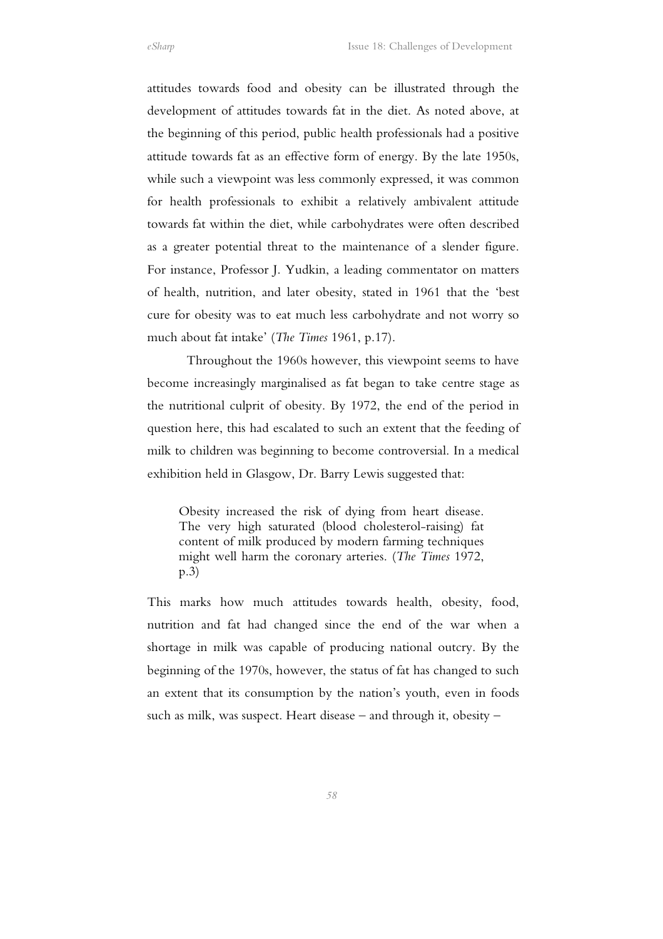attitudes towards food and obesity can be illustrated through the development of attitudes towards fat in the diet. As noted above, at the beginning of this period, public health professionals had a positive attitude towards fat as an effective form of energy. By the late 1950s, while such a viewpoint was less commonly expressed, it was common for health professionals to exhibit a relatively ambivalent attitude towards fat within the diet, while carbohydrates were often described as a greater potential threat to the maintenance of a slender figure. For instance, Professor J. Yudkin, a leading commentator on matters of health, nutrition, and later obesity, stated in 1961 that the 'best cure for obesity was to eat much less carbohydrate and not worry so much about fat intake' (*The Times* 1961, p.17).

 Throughout the 1960s however, this viewpoint seems to have become increasingly marginalised as fat began to take centre stage as the nutritional culprit of obesity. By 1972, the end of the period in question here, this had escalated to such an extent that the feeding of milk to children was beginning to become controversial. In a medical exhibition held in Glasgow, Dr. Barry Lewis suggested that:

Obesity increased the risk of dying from heart disease. The very high saturated (blood cholesterol-raising) fat content of milk produced by modern farming techniques might well harm the coronary arteries. (*The Times* 1972, p.3)

This marks how much attitudes towards health, obesity, food, nutrition and fat had changed since the end of the war when a shortage in milk was capable of producing national outcry. By the beginning of the 1970s, however, the status of fat has changed to such an extent that its consumption by the nation's youth, even in foods such as milk, was suspect. Heart disease – and through it, obesity –

*58*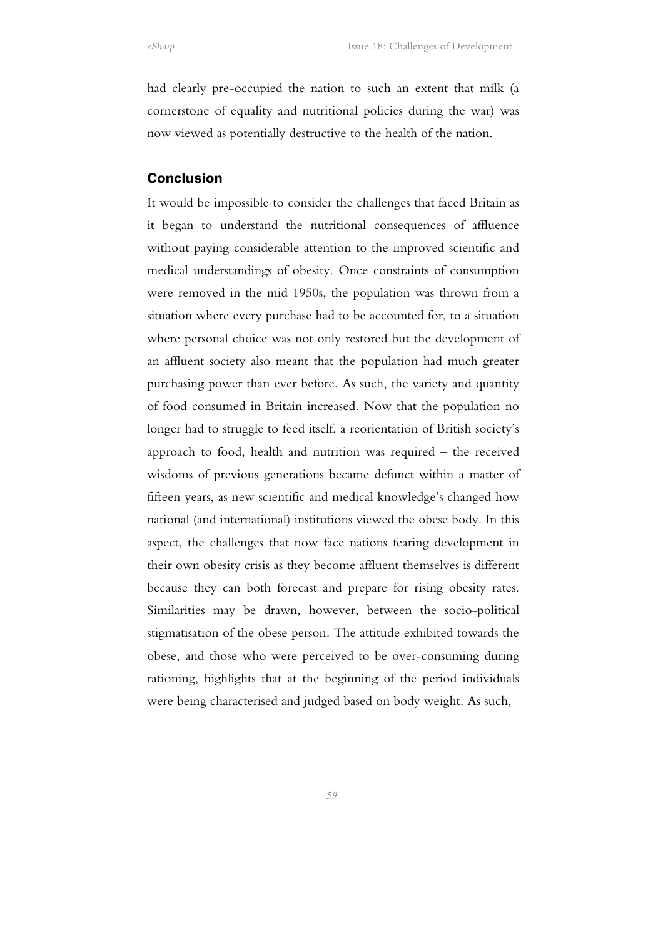had clearly pre-occupied the nation to such an extent that milk (a cornerstone of equality and nutritional policies during the war) was now viewed as potentially destructive to the health of the nation.

#### Conclusion

It would be impossible to consider the challenges that faced Britain as it began to understand the nutritional consequences of affluence without paying considerable attention to the improved scientific and medical understandings of obesity. Once constraints of consumption were removed in the mid 1950s, the population was thrown from a situation where every purchase had to be accounted for, to a situation where personal choice was not only restored but the development of an affluent society also meant that the population had much greater purchasing power than ever before. As such, the variety and quantity of food consumed in Britain increased. Now that the population no longer had to struggle to feed itself, a reorientation of British society's approach to food, health and nutrition was required – the received wisdoms of previous generations became defunct within a matter of fifteen years, as new scientific and medical knowledge's changed how national (and international) institutions viewed the obese body. In this aspect, the challenges that now face nations fearing development in their own obesity crisis as they become affluent themselves is different because they can both forecast and prepare for rising obesity rates. Similarities may be drawn, however, between the socio-political stigmatisation of the obese person. The attitude exhibited towards the obese, and those who were perceived to be over-consuming during rationing, highlights that at the beginning of the period individuals were being characterised and judged based on body weight. As such,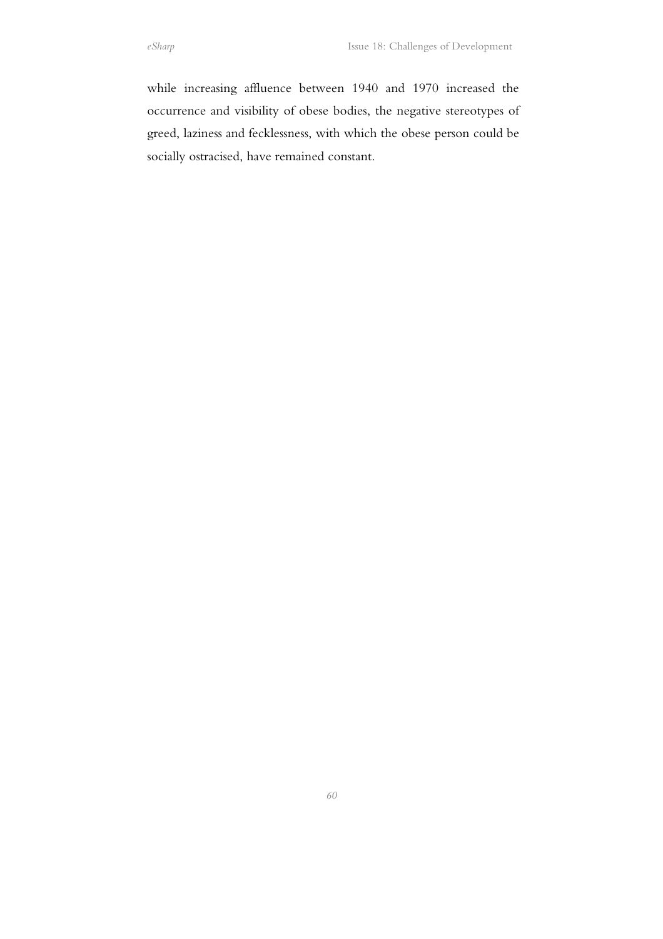while increasing affluence between 1940 and 1970 increased the occurrence and visibility of obese bodies, the negative stereotypes of greed, laziness and fecklessness, with which the obese person could be socially ostracised, have remained constant.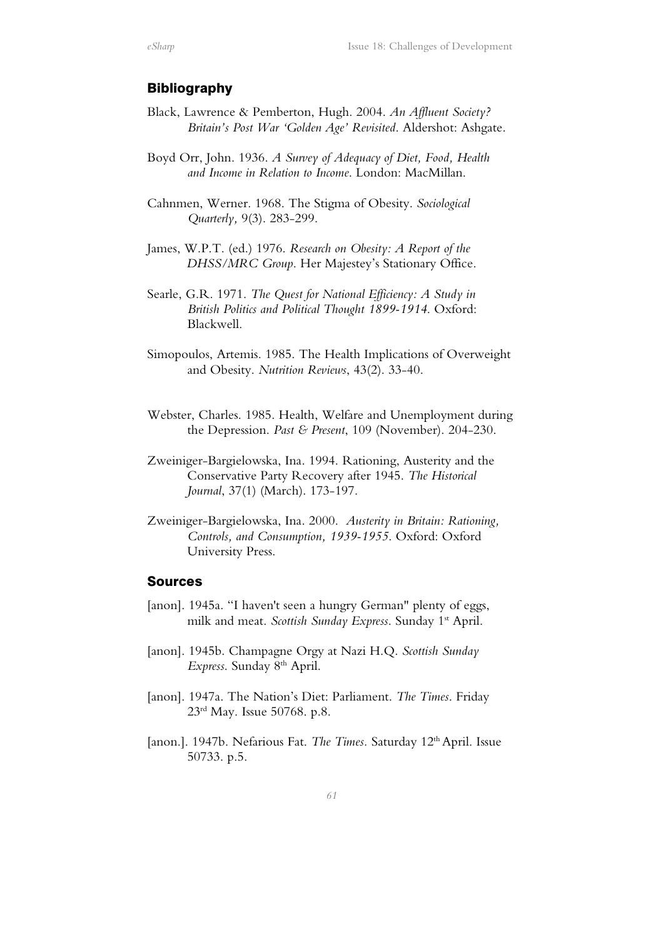## Bibliography

- Black, Lawrence & Pemberton, Hugh. 2004. *An Affluent Society? Britain's Post War 'Golden Age' Revisited*. Aldershot: Ashgate.
- Boyd Orr, John. 1936. *A Survey of Adequacy of Diet, Food, Health and Income in Relation to Income*. London: MacMillan.
- Cahnmen, Werner. 1968. The Stigma of Obesity. *Sociological Quarterly,* 9(3). 283-299.
- James, W.P.T. (ed.) 1976. *Research on Obesity: A Report of the DHSS/MRC Group*. Her Majestey's Stationary Office.
- Searle, G.R. 1971. *The Quest for National Efficiency: A Study in British Politics and Political Thought 1899-1914*. Oxford: Blackwell.
- Simopoulos, Artemis. 1985. The Health Implications of Overweight and Obesity. *Nutrition Reviews*, 43(2). 33-40.
- Webster, Charles. 1985. Health, Welfare and Unemployment during the Depression. *Past & Present*, 109 (November). 204-230.
- Zweiniger-Bargielowska, Ina. 1994. Rationing, Austerity and the Conservative Party Recovery after 1945. *The Historical Journal*, 37(1) (March). 173-197.
- Zweiniger-Bargielowska, Ina. 2000. *Austerity in Britain: Rationing, Controls, and Consumption, 1939-1955*. Oxford: Oxford University Press.

## Sources

- [anon]. 1945a. "I haven't seen a hungry German" plenty of eggs, milk and meat. *Scottish Sunday Express*. Sunday 1<sup>st</sup> April.
- [anon]. 1945b. Champagne Orgy at Nazi H.Q. *Scottish Sunday Express*. Sunday 8th April.
- [anon]. 1947a. The Nation's Diet: Parliament. *The Times*. Friday 23rd May. Issue 50768. p.8.
- [anon.]. 1947b. Nefarious Fat. *The Times.* Saturday 12th April. Issue 50733. p.5.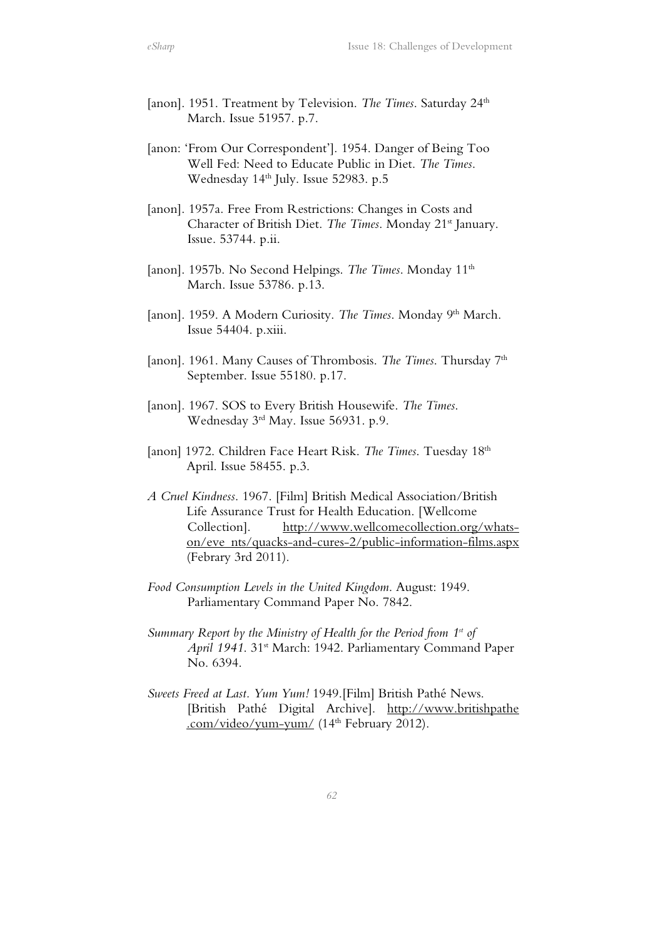- [anon]. 1951. Treatment by Television. *The Times*. Saturday 24<sup>th</sup> March. Issue 51957. p.7.
- [anon: 'From Our Correspondent']. 1954. Danger of Being Too Well Fed: Need to Educate Public in Diet. *The Times*. Wednesday 14<sup>th</sup> July. Issue 52983. p.5
- [anon]. 1957a. Free From Restrictions: Changes in Costs and Character of British Diet. *The Times*. Monday 21<sup>st</sup> January. Issue. 53744. p.ii.
- [anon]. 1957b. No Second Helpings. *The Times*. Monday 11<sup>th</sup> March. Issue 53786. p.13.
- [anon]. 1959. A Modern Curiosity. The Times. Monday 9th March. Issue 54404. p.xiii.
- [anon]. 1961. Many Causes of Thrombosis. *The Times*. Thursday 7<sup>th</sup> September. Issue 55180. p.17.
- [anon]. 1967. SOS to Every British Housewife. *The Times*. Wednesday 3rd May. Issue 56931. p.9.
- [anon] 1972. Children Face Heart Risk. *The Times*. Tuesday 18<sup>th</sup> April. Issue 58455. p.3.
- *A Cruel Kindness*. 1967. [Film] British Medical Association/British Life Assurance Trust for Health Education. [Wellcome Collection]. http://www.wellcomecollection.org/whatson/eve nts/quacks-and-cures-2/public-information-films.aspx (Febrary 3rd 2011).
- *Food Consumption Levels in the United Kingdom*. August: 1949. Parliamentary Command Paper No. 7842.
- *Summary Report by the Ministry of Health for the Period from 1st of*  April 1941. 31<sup>st</sup> March: 1942. Parliamentary Command Paper No. 6394.
- *Sweets Freed at Last. Yum Yum!* 1949.[Film] British Pathé News. [British Pathé Digital Archive]. http://www.britishpathe .com/video/yum-yum/ (14<sup>th</sup> February 2012).